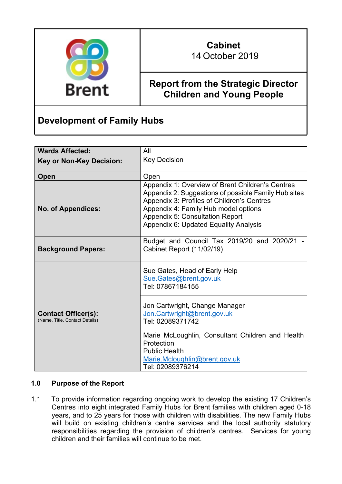

# **Cabinet** 14 October 2019

# **Report from the Strategic Director Children and Young People**

# **Development of Family Hubs**

| <b>Wards Affected:</b>                                       | All                                                                                                                                                                                                                                                                        |  |
|--------------------------------------------------------------|----------------------------------------------------------------------------------------------------------------------------------------------------------------------------------------------------------------------------------------------------------------------------|--|
| <b>Key or Non-Key Decision:</b>                              | <b>Key Decision</b>                                                                                                                                                                                                                                                        |  |
| Open                                                         | Open                                                                                                                                                                                                                                                                       |  |
| <b>No. of Appendices:</b>                                    | Appendix 1: Overview of Brent Children's Centres<br>Appendix 2: Suggestions of possible Family Hub sites<br>Appendix 3: Profiles of Children's Centres<br>Appendix 4: Family Hub model options<br>Appendix 5: Consultation Report<br>Appendix 6: Updated Equality Analysis |  |
| <b>Background Papers:</b>                                    | Budget and Council Tax 2019/20 and 2020/21<br>Cabinet Report (11/02/19)                                                                                                                                                                                                    |  |
| <b>Contact Officer(s):</b><br>(Name, Title, Contact Details) | Sue Gates, Head of Early Help<br>Sue.Gates@brent.gov.uk<br>Tel: 07867184155                                                                                                                                                                                                |  |
|                                                              | Jon Cartwright, Change Manager<br>Jon.Cartwright@brent.gov.uk<br>Tel: 02089371742                                                                                                                                                                                          |  |
|                                                              | Marie McLoughlin, Consultant Children and Health<br>Protection<br><b>Public Health</b><br>Marie.Mcloughlin@brent.gov.uk<br>Tel: 02089376214                                                                                                                                |  |

## **1.0 Purpose of the Report**

1.1 To provide information regarding ongoing work to develop the existing 17 Children's Centres into eight integrated Family Hubs for Brent families with children aged 0-18 years, and to 25 years for those with children with disabilities. The new Family Hubs will build on existing children's centre services and the local authority statutory responsibilities regarding the provision of children's centres. Services for young children and their families will continue to be met.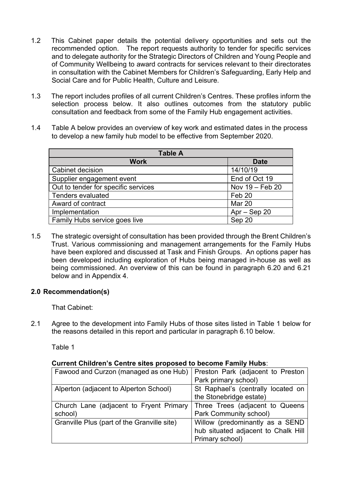- 1.2 This Cabinet paper details the potential delivery opportunities and sets out the recommended option. The report requests authority to tender for specific services and to delegate authority for the Strategic Directors of Children and Young People and of Community Wellbeing to award contracts for services relevant to their directorates in consultation with the Cabinet Members for Children's Safeguarding, Early Help and Social Care and for Public Health, Culture and Leisure.
- 1.3 The report includes profiles of all current Children's Centres. These profiles inform the selection process below. It also outlines outcomes from the statutory public consultation and feedback from some of the Family Hub engagement activities.
- 1.4 Table A below provides an overview of key work and estimated dates in the process to develop a new family hub model to be effective from September 2020.

| <b>Table A</b>                      |                   |  |  |
|-------------------------------------|-------------------|--|--|
| <b>Work</b>                         | <b>Date</b>       |  |  |
| Cabinet decision                    | 14/10/19          |  |  |
| Supplier engagement event           | End of Oct 19     |  |  |
| Out to tender for specific services | Nov 19 - Feb 20   |  |  |
| <b>Tenders evaluated</b>            | Feb <sub>20</sub> |  |  |
| Award of contract                   | Mar 20            |  |  |
| Implementation                      | $Apr - Sep 20$    |  |  |
| Family Hubs service goes live       | Sep 20            |  |  |

1.5 The strategic oversight of consultation has been provided through the Brent Children's Trust. Various commissioning and management arrangements for the Family Hubs have been explored and discussed at Task and Finish Groups. An options paper has been developed including exploration of Hubs being managed in-house as well as being commissioned. An overview of this can be found in paragraph 6.20 and 6.21 below and in Appendix 4.

## **2.0 Recommendation(s)**

That Cabinet:

2.1 Agree to the development into Family Hubs of those sites listed in Table 1 below for the reasons detailed in this report and particular in paragraph 6.10 below.

Table 1

## **Current Children's Centre sites proposed to become Family Hubs**:

| Fawood and Curzon (managed as one Hub)      | Preston Park (adjacent to Preston   |  |
|---------------------------------------------|-------------------------------------|--|
|                                             | Park primary school)                |  |
| Alperton (adjacent to Alperton School)      | St Raphael's (centrally located on  |  |
|                                             | the Stonebridge estate)             |  |
| Church Lane (adjacent to Fryent Primary     | Three Trees (adjacent to Queens     |  |
| school)                                     | Park Community school)              |  |
| Granville Plus (part of the Granville site) | Willow (predominantly as a SEND     |  |
|                                             | hub situated adjacent to Chalk Hill |  |
|                                             | Primary school)                     |  |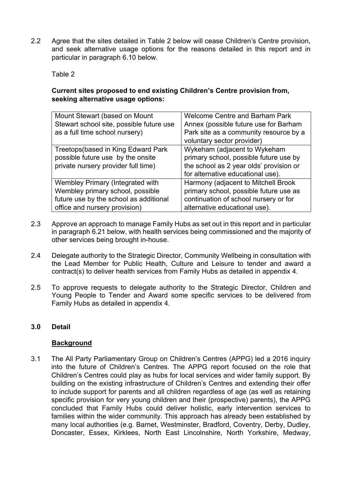2.2 Agree that the sites detailed in Table 2 below will cease Children's Centre provision, and seek alternative usage options for the reasons detailed in this report and in particular in paragraph 6.10 below.

Table 2

## **Current sites proposed to end existing Children's Centre provision from, seeking alternative usage options:**

| Mount Stewart (based on Mount            | <b>Welcome Centre and Barham Park</b>   |
|------------------------------------------|-----------------------------------------|
| Stewart school site, possible future use | Annex (possible future use for Barham   |
| as a full time school nursery)           | Park site as a community resource by a  |
|                                          | voluntary sector provider)              |
| Treetops (based in King Edward Park      | Wykeham (adjacent to Wykeham            |
| possible future use by the onsite        | primary school, possible future use by  |
| private nursery provider full time)      | the school as 2 year olds' provision or |
|                                          | for alternative educational use).       |
| Wembley Primary (Integrated with         | Harmony (adjacent to Mitchell Brook     |
| Wembley primary school, possible         | primary school, possible future use as  |
| future use by the school as additional   | continuation of school nursery or for   |
| office and nursery provision)            | alternative educational use).           |
|                                          |                                         |

- 2.3 Approve an approach to manage Family Hubs as set out in this report and in particular in paragraph 6.21 below, with health services being commissioned and the majority of other services being brought in-house.
- 2.4 Delegate authority to the Strategic Director, Community Wellbeing in consultation with the Lead Member for Public Health, Culture and Leisure to tender and award a contract(s) to deliver health services from Family Hubs as detailed in appendix 4.
- 2.5 To approve requests to delegate authority to the Strategic Director, Children and Young People to Tender and Award some specific services to be delivered from Family Hubs as detailed in appendix 4.

## **3.0 Detail**

#### **Background**

3.1 The All Party Parliamentary Group on Children's Centres (APPG) led a 2016 inquiry into the future of Children's Centres. The APPG report focused on the role that Children's Centres could play as hubs for local services and wider family support. By building on the existing infrastructure of Children's Centres and extending their offer to include support for parents and all children regardless of age (as well as retaining specific provision for very young children and their (prospective) parents), the APPG concluded that Family Hubs could deliver holistic, early intervention services to families within the wider community. This approach has already been established by many local authorities (e.g. Barnet, Westminster, Bradford, Coventry, Derby, Dudley, Doncaster, Essex, Kirklees, North East Lincolnshire, North Yorkshire, Medway,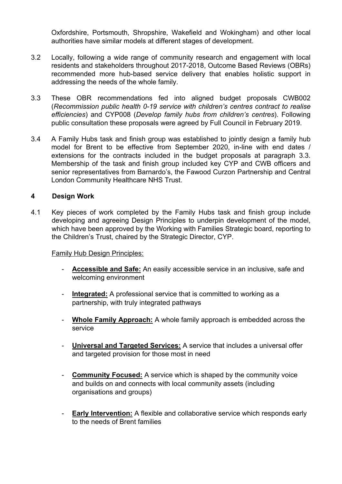Oxfordshire, Portsmouth, Shropshire, Wakefield and Wokingham) and other local authorities have similar models at different stages of development.

- 3.2 Locally, following a wide range of community research and engagement with local residents and stakeholders throughout 2017-2018, Outcome Based Reviews (OBRs) recommended more hub-based service delivery that enables holistic support in addressing the needs of the whole family.
- 3.3 These OBR recommendations fed into aligned budget proposals CWB002 (*Recommission public health 0-19 service with children's centres contract to realise efficiencies*) and CYP008 (*Develop family hubs from children's centres*). Following public consultation these proposals were agreed by Full Council in February 2019.
- 3.4 A Family Hubs task and finish group was established to jointly design a family hub model for Brent to be effective from September 2020, in-line with end dates / extensions for the contracts included in the budget proposals at paragraph 3.3. Membership of the task and finish group included key CYP and CWB officers and senior representatives from Barnardo's, the Fawood Curzon Partnership and Central London Community Healthcare NHS Trust.

#### **4 Design Work**

4.1 Key pieces of work completed by the Family Hubs task and finish group include developing and agreeing Design Principles to underpin development of the model, which have been approved by the Working with Families Strategic board, reporting to the Children's Trust, chaired by the Strategic Director, CYP.

#### Family Hub Design Principles:

- **Accessible and Safe:** An easily accessible service in an inclusive, safe and welcoming environment
- **Integrated:** A professional service that is committed to working as a partnership, with truly integrated pathways
- **Whole Family Approach:** A whole family approach is embedded across the service
- **Universal and Targeted Services:** A service that includes a universal offer and targeted provision for those most in need
- **Community Focused:** A service which is shaped by the community voice and builds on and connects with local community assets (including organisations and groups)
- **Early Intervention:** A flexible and collaborative service which responds early to the needs of Brent families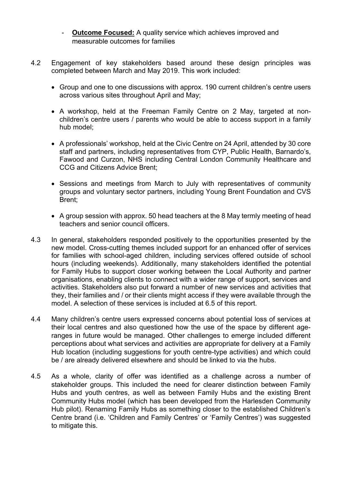- **Outcome Focused:** A quality service which achieves improved and measurable outcomes for families
- 4.2Engagement of key stakeholders based around these design principles was completed between March and May 2019. This work included:
	- Group and one to one discussions with approx. 190 current children's centre users across various sites throughout April and May;
	- A workshop, held at the Freeman Family Centre on 2 May, targeted at nonchildren's centre users / parents who would be able to access support in a family hub model;
	- A professionals' workshop, held at the Civic Centre on 24 April, attended by 30 core staff and partners, including representatives from CYP, Public Health, Barnardo's, Fawood and Curzon, NHS including Central London Community Healthcare and CCG and Citizens Advice Brent;
	- Sessions and meetings from March to July with representatives of community groups and voluntary sector partners, including Young Brent Foundation and CVS Brent;
	- A group session with approx. 50 head teachers at the 8 May termly meeting of head teachers and senior council officers.
- 4.3 In general, stakeholders responded positively to the opportunities presented by the new model. Cross-cutting themes included support for an enhanced offer of services for families with school-aged children, including services offered outside of school hours (including weekends). Additionally, many stakeholders identified the potential for Family Hubs to support closer working between the Local Authority and partner organisations, enabling clients to connect with a wider range of support, services and activities. Stakeholders also put forward a number of new services and activities that they, their families and / or their clients might access if they were available through the model. A selection of these services is included at 6.5 of this report.
- 4.4 Many children's centre users expressed concerns about potential loss of services at their local centres and also questioned how the use of the space by different ageranges in future would be managed. Other challenges to emerge included different perceptions about what services and activities are appropriate for delivery at a Family Hub location (including suggestions for youth centre-type activities) and which could be / are already delivered elsewhere and should be linked to via the hubs.
- 4.5 As a whole, clarity of offer was identified as a challenge across a number of stakeholder groups. This included the need for clearer distinction between Family Hubs and youth centres, as well as between Family Hubs and the existing Brent Community Hubs model (which has been developed from the Harlesden Community Hub pilot). Renaming Family Hubs as something closer to the established Children's Centre brand (i.e. 'Children and Family Centres' or 'Family Centres') was suggested to mitigate this.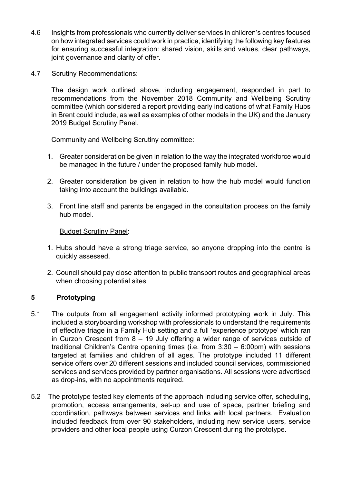- 4.6 Insights from professionals who currently deliver services in children's centres focused on how integrated services could work in practice, identifying the following key features for ensuring successful integration: shared vision, skills and values, clear pathways, joint governance and clarity of offer.
- 4.7 Scrutiny Recommendations:

The design work outlined above, including engagement, responded in part to recommendations from the November 2018 Community and Wellbeing Scrutiny committee (which considered a report providing early indications of what Family Hubs in Brent could include, as well as examples of other models in the UK) and the January 2019 Budget Scrutiny Panel.

#### Community and Wellbeing Scrutiny committee:

- 1. Greater consideration be given in relation to the way the integrated workforce would be managed in the future / under the proposed family hub model.
- 2. Greater consideration be given in relation to how the hub model would function taking into account the buildings available.
- 3. Front line staff and parents be engaged in the consultation process on the family hub model.

#### Budget Scrutiny Panel:

- 1. Hubs should have a strong triage service, so anyone dropping into the centre is quickly assessed.
- 2. Council should pay close attention to public transport routes and geographical areas when choosing potential sites

## **5 Prototyping**

- 5.1 The outputs from all engagement activity informed prototyping work in July. This included a storyboarding workshop with professionals to understand the requirements of effective triage in a Family Hub setting and a full 'experience prototype' which ran in Curzon Crescent from 8 – 19 July offering a wider range of services outside of traditional Children's Centre opening times (i.e. from 3:30 – 6:00pm) with sessions targeted at families and children of all ages. The prototype included 11 different service offers over 20 different sessions and included council services, commissioned services and services provided by partner organisations. All sessions were advertised as drop-ins, with no appointments required.
- 5.2 The prototype tested key elements of the approach including service offer, scheduling, promotion, access arrangements, set-up and use of space, partner briefing and coordination, pathways between services and links with local partners. Evaluation included feedback from over 90 stakeholders, including new service users, service providers and other local people using Curzon Crescent during the prototype.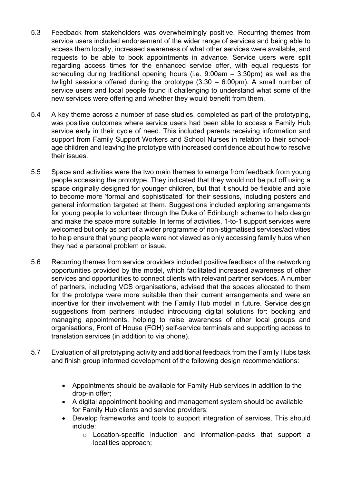- 5.3 Feedback from stakeholders was overwhelmingly positive. Recurring themes from service users included endorsement of the wider range of services and being able to access them locally, increased awareness of what other services were available, and requests to be able to book appointments in advance. Service users were split regarding access times for the enhanced service offer, with equal requests for scheduling during traditional opening hours (i.e. 9:00am – 3:30pm) as well as the twilight sessions offered during the prototype (3:30 – 6:00pm). A small number of service users and local people found it challenging to understand what some of the new services were offering and whether they would benefit from them.
- 5.4 A key theme across a number of case studies, completed as part of the prototyping, was positive outcomes where service users had been able to access a Family Hub service early in their cycle of need. This included parents receiving information and support from Family Support Workers and School Nurses in relation to their schoolage children and leaving the prototype with increased confidence about how to resolve their issues.
- 5.5 Space and activities were the two main themes to emerge from feedback from young people accessing the prototype. They indicated that they would not be put off using a space originally designed for younger children, but that it should be flexible and able to become more 'formal and sophisticated' for their sessions, including posters and general information targeted at them. Suggestions included exploring arrangements for young people to volunteer through the Duke of Edinburgh scheme to help design and make the space more suitable. In terms of activities, 1-to-1 support services were welcomed but only as part of a wider programme of non-stigmatised services/activities to help ensure that young people were not viewed as only accessing family hubs when they had a personal problem or issue.
- 5.6 Recurring themes from service providers included positive feedback of the networking opportunities provided by the model, which facilitated increased awareness of other services and opportunities to connect clients with relevant partner services. A number of partners, including VCS organisations, advised that the spaces allocated to them for the prototype were more suitable than their current arrangements and were an incentive for their involvement with the Family Hub model in future. Service design suggestions from partners included introducing digital solutions for: booking and managing appointments, helping to raise awareness of other local groups and organisations, Front of House (FOH) self-service terminals and supporting access to translation services (in addition to via phone).
- 5.7 Evaluation of all prototyping activity and additional feedback from the Family Hubs task and finish group informed development of the following design recommendations:
	- Appointments should be available for Family Hub services in addition to the drop-in offer;
	- A digital appointment booking and management system should be available for Family Hub clients and service providers;
	- Develop frameworks and tools to support integration of services. This should include:
		- o Location-specific induction and information-packs that support a localities approach;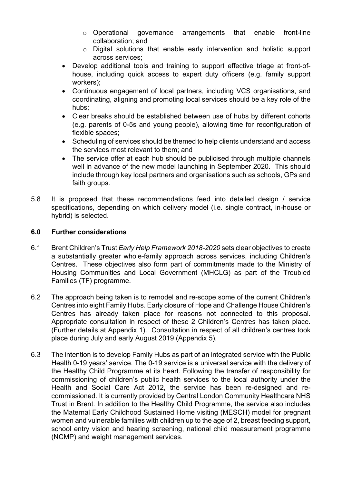- o Operational governance arrangements that enable front-line collaboration; and
- o Digital solutions that enable early intervention and holistic support across services;
- Develop additional tools and training to support effective triage at front-ofhouse, including quick access to expert duty officers (e.g. family support workers);
- Continuous engagement of local partners, including VCS organisations, and coordinating, aligning and promoting local services should be a key role of the hubs;
- Clear breaks should be established between use of hubs by different cohorts (e.g. parents of 0-5s and young people), allowing time for reconfiguration of flexible spaces;
- Scheduling of services should be themed to help clients understand and access the services most relevant to them; and
- The service offer at each hub should be publicised through multiple channels well in advance of the new model launching in September 2020. This should include through key local partners and organisations such as schools, GPs and faith groups.
- 5.8 It is proposed that these recommendations feed into detailed design / service specifications, depending on which delivery model (i.e. single contract, in-house or hybrid) is selected.

## **6.0 Further considerations**

- 6.1 Brent Children's Trust *Early Help Framework 2018-2020* sets clear objectives to create a substantially greater whole-family approach across services, including Children's Centres. These objectives also form part of commitments made to the Ministry of Housing Communities and Local Government (MHCLG) as part of the Troubled Families (TF) programme.
- 6.2 The approach being taken is to remodel and re-scope some of the current Children's Centres into eight Family Hubs. Early closure of Hope and Challenge House Children's Centres has already taken place for reasons not connected to this proposal. Appropriate consultation in respect of these 2 Children's Centres has taken place. (Further details at Appendix 1). Consultation in respect of all children's centres took place during July and early August 2019 (Appendix 5).
- 6.3 The intention is to develop Family Hubs as part of an integrated service with the Public Health 0-19 years' service. The 0-19 service is a universal service with the delivery of the Healthy Child Programme at its heart. Following the transfer of responsibility for commissioning of children's public health services to the local authority under the Health and Social Care Act 2012, the service has been re-designed and recommissioned. It is currently provided by Central London Community Healthcare NHS Trust in Brent. In addition to the Healthy Child Programme, the service also includes the Maternal Early Childhood Sustained Home visiting (MESCH) model for pregnant women and vulnerable families with children up to the age of 2, breast feeding support, school entry vision and hearing screening, national child measurement programme (NCMP) and weight management services.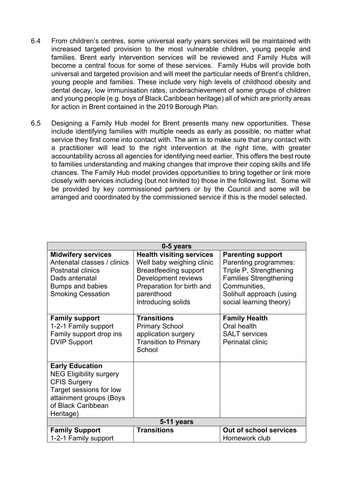- 6.4 From children's centres, some universal early years services will be maintained with increased targeted provision to the most vulnerable children, young people and families. Brent early intervention services will be reviewed and Family Hubs will become a central focus for some of these services. Family Hubs will provide both universal and targeted provision and will meet the particular needs of Brent's children, young people and families. These include very high levels of childhood obesity and dental decay, low immunisation rates, underachievement of some groups of children and young people (e.g. boys of Black Caribbean heritage) all of which are priority areas for action in Brent contained in the 2019 Borough Plan.
- 6.5 Designing a Family Hub model for Brent presents many new opportunities. These include identifying families with multiple needs as early as possible, no matter what service they first come into contact with. The aim is to make sure that any contact with a practitioner will lead to the right intervention at the right time, with greater accountability across all agencies for identifying need earlier. This offers the best route to families understanding and making changes that improve their coping skills and life chances. The Family Hub model provides opportunities to bring together or link more closely with services including (but not limited to) those in the following list. Some will be provided by key commissioned partners or by the Council and some will be arranged and coordinated by the commissioned service if this is the model selected.

| 0-5 years                                                                                                                                                                |                                                                                                                                                                                      |                                                                                                                                                                                      |  |  |
|--------------------------------------------------------------------------------------------------------------------------------------------------------------------------|--------------------------------------------------------------------------------------------------------------------------------------------------------------------------------------|--------------------------------------------------------------------------------------------------------------------------------------------------------------------------------------|--|--|
| <b>Midwifery services</b><br>Antenatal classes / clinics<br><b>Postnatal clinics</b><br>Dads antenatal<br>Bumps and babies<br><b>Smoking Cessation</b>                   | <b>Health visiting services</b><br>Well baby weighing clinic<br><b>Breastfeeding support</b><br>Development reviews<br>Preparation for birth and<br>parenthood<br>Introducing solids | <b>Parenting support</b><br>Parenting programmes:<br>Triple P, Strengthening<br><b>Families Strengthening</b><br>Communities,<br>Solihull approach (using<br>social learning theory) |  |  |
| <b>Family support</b><br>1-2-1 Family support<br>Family support drop ins<br><b>DVIP Support</b>                                                                          | <b>Transitions</b><br><b>Primary School</b><br>application surgery<br><b>Transition to Primary</b><br>School                                                                         | <b>Family Health</b><br>Oral health<br><b>SALT</b> services<br>Perinatal clinic                                                                                                      |  |  |
| <b>Early Education</b><br><b>NEG Eligibility surgery</b><br><b>CFIS Surgery</b><br>Target sessions for low<br>attainment groups (Boys<br>of Black Caribbean<br>Heritage) |                                                                                                                                                                                      |                                                                                                                                                                                      |  |  |
| 5-11 years                                                                                                                                                               |                                                                                                                                                                                      |                                                                                                                                                                                      |  |  |
| <b>Family Support</b><br>1-2-1 Family support                                                                                                                            | <b>Transitions</b>                                                                                                                                                                   | Out of school services<br>Homework club                                                                                                                                              |  |  |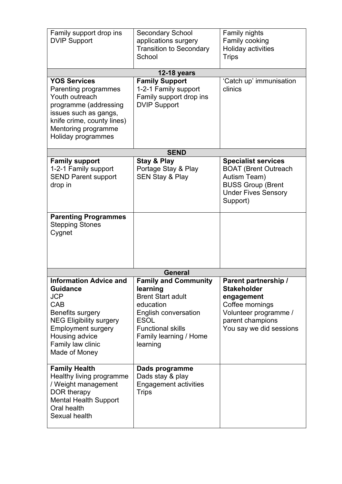| Family support drop ins<br><b>DVIP Support</b>                                                                                                                                                                   | <b>Secondary School</b><br>applications surgery<br><b>Transition to Secondary</b><br>School                                                                                                      | Family nights<br>Family cooking<br>Holiday activities<br><b>Trips</b>                                                                               |
|------------------------------------------------------------------------------------------------------------------------------------------------------------------------------------------------------------------|--------------------------------------------------------------------------------------------------------------------------------------------------------------------------------------------------|-----------------------------------------------------------------------------------------------------------------------------------------------------|
|                                                                                                                                                                                                                  | <b>12-18 years</b>                                                                                                                                                                               |                                                                                                                                                     |
| <b>YOS Services</b><br>Parenting programmes<br>Youth outreach<br>programme (addressing<br>issues such as gangs,<br>knife crime, county lines)<br>Mentoring programme<br>Holiday programmes                       | <b>Family Support</b><br>1-2-1 Family support<br>Family support drop ins<br><b>DVIP Support</b>                                                                                                  | 'Catch up' immunisation<br>clinics                                                                                                                  |
|                                                                                                                                                                                                                  | <b>SEND</b>                                                                                                                                                                                      |                                                                                                                                                     |
| <b>Family support</b><br>1-2-1 Family support<br><b>SEND Parent support</b><br>drop in                                                                                                                           | Stay & Play<br>Portage Stay & Play<br><b>SEN Stay &amp; Play</b>                                                                                                                                 | <b>Specialist services</b><br><b>BOAT (Brent Outreach</b><br>Autism Team)<br><b>BUSS Group (Brent</b><br><b>Under Fives Sensory</b><br>Support)     |
| <b>Parenting Programmes</b><br><b>Stepping Stones</b><br>Cygnet                                                                                                                                                  |                                                                                                                                                                                                  |                                                                                                                                                     |
|                                                                                                                                                                                                                  | <b>General</b>                                                                                                                                                                                   |                                                                                                                                                     |
| <b>Information Advice and</b><br><b>Guidance</b><br><b>JCP</b><br>CAB<br>Benefits surgery<br><b>NEG Eligibility surgery</b><br><b>Employment surgery</b><br>Housing advice<br>Family law clinic<br>Made of Money | <b>Family and Community</b><br>learning<br><b>Brent Start adult</b><br>education<br><b>English conversation</b><br><b>ESOL</b><br><b>Functional skills</b><br>Family learning / Home<br>learning | Parent partnership /<br><b>Stakeholder</b><br>engagement<br>Coffee mornings<br>Volunteer programme /<br>parent champions<br>You say we did sessions |
| <b>Family Health</b><br>Healthy living programme<br>/ Weight management<br>DOR therapy<br><b>Mental Health Support</b><br>Oral health<br>Sexual health                                                           | Dads programme<br>Dads stay & play<br><b>Engagement activities</b><br><b>Trips</b>                                                                                                               |                                                                                                                                                     |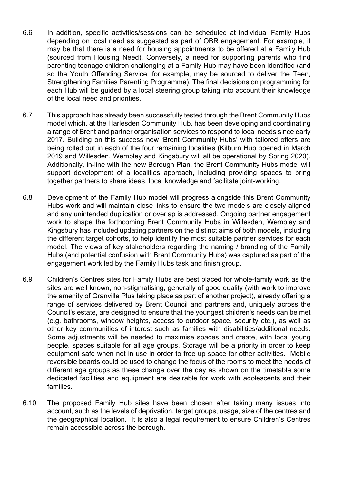- 6.6 In addition, specific activities/sessions can be scheduled at individual Family Hubs depending on local need as suggested as part of OBR engagement. For example, it may be that there is a need for housing appointments to be offered at a Family Hub (sourced from Housing Need). Conversely, a need for supporting parents who find parenting teenage children challenging at a Family Hub may have been identified (and so the Youth Offending Service, for example, may be sourced to deliver the Teen, Strengthening Families Parenting Programme). The final decisions on programming for each Hub will be guided by a local steering group taking into account their knowledge of the local need and priorities.
- 6.7 This approach has already been successfully tested through the Brent Community Hubs model which, at the Harlesden Community Hub, has been developing and coordinating a range of Brent and partner organisation services to respond to local needs since early 2017. Building on this success new 'Brent Community Hubs' with tailored offers are being rolled out in each of the four remaining localities (Kilburn Hub opened in March 2019 and Willesden, Wembley and Kingsbury will all be operational by Spring 2020). Additionally, in-line with the new Borough Plan, the Brent Community Hubs model will support development of a localities approach, including providing spaces to bring together partners to share ideas, local knowledge and facilitate joint-working.
- 6.8 Development of the Family Hub model will progress alongside this Brent Community Hubs work and will maintain close links to ensure the two models are closely aligned and any unintended duplication or overlap is addressed. Ongoing partner engagement work to shape the forthcoming Brent Community Hubs in Willesden, Wembley and Kingsbury has included updating partners on the distinct aims of both models, including the different target cohorts, to help identify the most suitable partner services for each model. The views of key stakeholders regarding the naming / branding of the Family Hubs (and potential confusion with Brent Community Hubs) was captured as part of the engagement work led by the Family Hubs task and finish group.
- 6.9 Children's Centres sites for Family Hubs are best placed for whole-family work as the sites are well known, non-stigmatising, generally of good quality (with work to improve the amenity of Granville Plus taking place as part of another project), already offering a range of services delivered by Brent Council and partners and, uniquely across the Council's estate, are designed to ensure that the youngest children's needs can be met (e.g. bathrooms, window heights, access to outdoor space, security etc.), as well as other key communities of interest such as families with disabilities/additional needs. Some adjustments will be needed to maximise spaces and create, with local young people, spaces suitable for all age groups. Storage will be a priority in order to keep equipment safe when not in use in order to free up space for other activities. Mobile reversible boards could be used to change the focus of the rooms to meet the needs of different age groups as these change over the day as shown on the timetable some dedicated facilities and equipment are desirable for work with adolescents and their families.
- 6.10 The proposed Family Hub sites have been chosen after taking many issues into account, such as the levels of deprivation, target groups, usage, size of the centres and the geographical location. It is also a legal requirement to ensure Children's Centres remain accessible across the borough.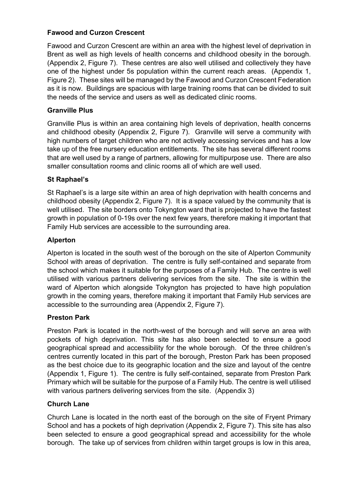# **Fawood and Curzon Crescent**

Fawood and Curzon Crescent are within an area with the highest level of deprivation in Brent as well as high levels of health concerns and childhood obesity in the borough. (Appendix 2, Figure 7). These centres are also well utilised and collectively they have one of the highest under 5s population within the current reach areas. (Appendix 1, Figure 2). These sites will be managed by the Fawood and Curzon Crescent Federation as it is now. Buildings are spacious with large training rooms that can be divided to suit the needs of the service and users as well as dedicated clinic rooms.

# **Granville Plus**

Granville Plus is within an area containing high levels of deprivation, health concerns and childhood obesity (Appendix 2, Figure 7). Granville will serve a community with high numbers of target children who are not actively accessing services and has a low take up of the free nursery education entitlements. The site has several different rooms that are well used by a range of partners, allowing for multipurpose use. There are also smaller consultation rooms and clinic rooms all of which are well used.

## **St Raphael's**

St Raphael's is a large site within an area of high deprivation with health concerns and childhood obesity (Appendix 2, Figure 7). It is a space valued by the community that is well utilised. The site borders onto Tokyngton ward that is projected to have the fastest growth in population of 0-19s over the next few years, therefore making it important that Family Hub services are accessible to the surrounding area.

# **Alperton**

Alperton is located in the south west of the borough on the site of Alperton Community School with areas of deprivation. The centre is fully self-contained and separate from the school which makes it suitable for the purposes of a Family Hub. The centre is well utilised with various partners delivering services from the site. The site is within the ward of Alperton which alongside Tokyngton has projected to have high population growth in the coming years, therefore making it important that Family Hub services are accessible to the surrounding area (Appendix 2, Figure 7).

## **Preston Park**

Preston Park is located in the north-west of the borough and will serve an area with pockets of high deprivation. This site has also been selected to ensure a good geographical spread and accessibility for the whole borough. Of the three children's centres currently located in this part of the borough, Preston Park has been proposed as the best choice due to its geographic location and the size and layout of the centre (Appendix 1, Figure 1). The centre is fully self-contained, separate from Preston Park Primary which will be suitable for the purpose of a Family Hub. The centre is well utilised with various partners delivering services from the site. (Appendix 3)

## **Church Lane**

Church Lane is located in the north east of the borough on the site of Fryent Primary School and has a pockets of high deprivation (Appendix 2, Figure 7). This site has also been selected to ensure a good geographical spread and accessibility for the whole borough. The take up of services from children within target groups is low in this area,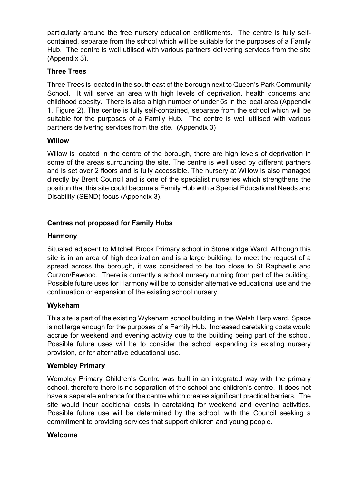particularly around the free nursery education entitlements. The centre is fully selfcontained, separate from the school which will be suitable for the purposes of a Family Hub. The centre is well utilised with various partners delivering services from the site (Appendix 3).

## **Three Trees**

Three Trees is located in the south east of the borough next to Queen's Park Community School. It will serve an area with high levels of deprivation, health concerns and childhood obesity. There is also a high number of under 5s in the local area (Appendix 1, Figure 2). The centre is fully self-contained, separate from the school which will be suitable for the purposes of a Family Hub. The centre is well utilised with various partners delivering services from the site. (Appendix 3)

# **Willow**

Willow is located in the centre of the borough, there are high levels of deprivation in some of the areas surrounding the site. The centre is well used by different partners and is set over 2 floors and is fully accessible. The nursery at Willow is also managed directly by Brent Council and is one of the specialist nurseries which strengthens the position that this site could become a Family Hub with a Special Educational Needs and Disability (SEND) focus (Appendix 3).

# **Centres not proposed for Family Hubs**

## **Harmony**

Situated adjacent to Mitchell Brook Primary school in Stonebridge Ward. Although this site is in an area of high deprivation and is a large building, to meet the request of a spread across the borough, it was considered to be too close to St Raphael's and Curzon/Fawood. There is currently a school nursery running from part of the building. Possible future uses for Harmony will be to consider alternative educational use and the continuation or expansion of the existing school nursery.

## **Wykeham**

This site is part of the existing Wykeham school building in the Welsh Harp ward. Space is not large enough for the purposes of a Family Hub. Increased caretaking costs would accrue for weekend and evening activity due to the building being part of the school. Possible future uses will be to consider the school expanding its existing nursery provision, or for alternative educational use.

## **Wembley Primary**

Wembley Primary Children's Centre was built in an integrated way with the primary school, therefore there is no separation of the school and children's centre. It does not have a separate entrance for the centre which creates significant practical barriers. The site would incur additional costs in caretaking for weekend and evening activities. Possible future use will be determined by the school, with the Council seeking a commitment to providing services that support children and young people.

## **Welcome**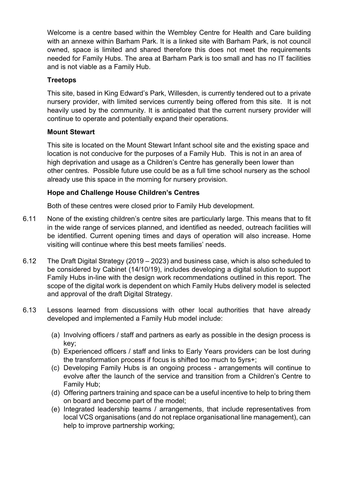Welcome is a centre based within the Wembley Centre for Health and Care building with an annexe within Barham Park. It is a linked site with Barham Park, is not council owned, space is limited and shared therefore this does not meet the requirements needed for Family Hubs. The area at Barham Park is too small and has no IT facilities and is not viable as a Family Hub.

## **Treetops**

This site, based in King Edward's Park, Willesden, is currently tendered out to a private nursery provider, with limited services currently being offered from this site. It is not heavily used by the community. It is anticipated that the current nursery provider will continue to operate and potentially expand their operations.

#### **Mount Stewart**

This site is located on the Mount Stewart Infant school site and the existing space and location is not conducive for the purposes of a Family Hub. This is not in an area of high deprivation and usage as a Children's Centre has generally been lower than other centres. Possible future use could be as a full time school nursery as the school already use this space in the morning for nursery provision.

#### **Hope and Challenge House Children's Centres**

Both of these centres were closed prior to Family Hub development.

- 6.11 None of the existing children's centre sites are particularly large. This means that to fit in the wide range of services planned, and identified as needed, outreach facilities will be identified. Current opening times and days of operation will also increase. Home visiting will continue where this best meets families' needs.
- 6.12 The Draft Digital Strategy (2019 2023) and business case, which is also scheduled to be considered by Cabinet (14/10/19), includes developing a digital solution to support Family Hubs in-line with the design work recommendations outlined in this report. The scope of the digital work is dependent on which Family Hubs delivery model is selected and approval of the draft Digital Strategy.
- 6.13 Lessons learned from discussions with other local authorities that have already developed and implemented a Family Hub model include:
	- (a) Involving officers / staff and partners as early as possible in the design process is key;
	- (b) Experienced officers / staff and links to Early Years providers can be lost during the transformation process if focus is shifted too much to 5yrs+;
	- (c) Developing Family Hubs is an ongoing process arrangements will continue to evolve after the launch of the service and transition from a Children's Centre to Family Hub;
	- (d) Offering partners training and space can be a useful incentive to help to bring them on board and become part of the model;
	- (e) Integrated leadership teams / arrangements, that include representatives from local VCS organisations (and do not replace organisational line management), can help to improve partnership working;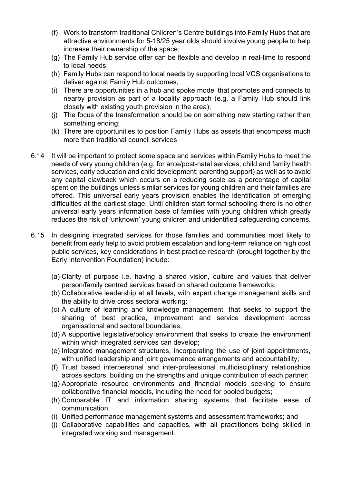- (f) Work to transform traditional Children's Centre buildings into Family Hubs that are attractive environments for 5-18/25 year olds should involve young people to help increase their ownership of the space;
- (g) The Family Hub service offer can be flexible and develop in real-time to respond to local needs;
- (h) Family Hubs can respond to local needs by supporting local VCS organisations to deliver against Family Hub outcomes;
- (i) There are opportunities in a hub and spoke model that promotes and connects to nearby provision as part of a locality approach (e.g. a Family Hub should link closely with existing youth provision in the area);
- (j) The focus of the transformation should be on something new starting rather than something ending;
- (k) There are opportunities to position Family Hubs as assets that encompass much more than traditional council services
- 6.14 It will be important to protect some space and services within Family Hubs to meet the needs of very young children (e.g. for ante/post-natal services, child and family health services, early education and child development; parenting support) as well as to avoid any capital clawback which occurs on a reducing scale as a percentage of capital spent on the buildings unless similar services for young children and their families are offered. This universal early years provision enables the identification of emerging difficulties at the earliest stage. Until children start formal schooling there is no other universal early years information base of families with young children which greatly reduces the risk of 'unknown' young children and unidentified safeguarding concerns.
- 6.15 In designing integrated services for those families and communities most likely to benefit from early help to avoid problem escalation and long-term reliance on high cost public services, key considerations in best practice research (brought together by the Early Intervention Foundation) include:
	- (a) Clarity of purpose i.e. having a shared vision, culture and values that deliver person/family centred services based on shared outcome frameworks;
	- (b) Collaborative leadership at all levels, with expert change management skills and the ability to drive cross sectoral working;
	- (c) A culture of learning and knowledge management, that seeks to support the sharing of best practice, improvement and service development across organisational and sectoral boundaries;
	- (d) A supportive legislative/policy environment that seeks to create the environment within which integrated services can develop;
	- (e) Integrated management structures, incorporating the use of joint appointments, with unified leadership and joint governance arrangements and accountability;
	- (f) Trust based interpersonal and inter-professional multidisciplinary relationships across sectors, building on the strengths and unique contribution of each partner;
	- (g) Appropriate resource environments and financial models seeking to ensure collaborative financial models, including the need for pooled budgets;
	- (h) Comparable IT and information sharing systems that facilitate ease of communication;
	- (i) Unified performance management systems and assessment frameworks; and
	- (j) Collaborative capabilities and capacities, with all practitioners being skilled in integrated working and management.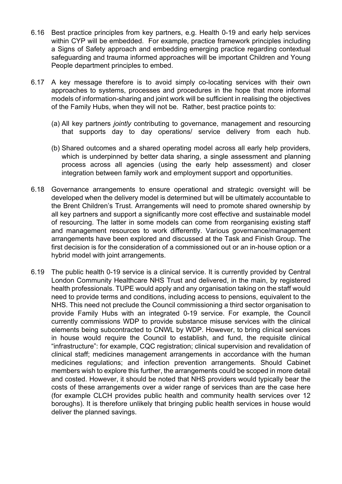- 6.16 Best practice principles from key partners, e.g. Health 0-19 and early help services within CYP will be embedded. For example, practice framework principles including a Signs of Safety approach and embedding emerging practice regarding contextual safeguarding and trauma informed approaches will be important Children and Young People department principles to embed.
- 6.17 A key message therefore is to avoid simply co-locating services with their own approaches to systems, processes and procedures in the hope that more informal models of information-sharing and joint work will be sufficient in realising the objectives of the Family Hubs, when they will not be. Rather, best practice points to:
	- (a) All key partners *jointly* contributing to governance, management and resourcing that supports day to day operations/ service delivery from each hub.
	- (b) Shared outcomes and a shared operating model across all early help providers, which is underpinned by better data sharing, a single assessment and planning process across all agencies (using the early help assessment) and closer integration between family work and employment support and opportunities.
- 6.18 Governance arrangements to ensure operational and strategic oversight will be developed when the delivery model is determined but will be ultimately accountable to the Brent Children's Trust. Arrangements will need to promote shared ownership by all key partners and support a significantly more cost effective and sustainable model of resourcing. The latter in some models can come from reorganising existing staff and management resources to work differently. Various governance/management arrangements have been explored and discussed at the Task and Finish Group. The first decision is for the consideration of a commissioned out or an in-house option or a hybrid model with joint arrangements.
- 6.19 The public health 0-19 service is a clinical service. It is currently provided by Central London Community Healthcare NHS Trust and delivered, in the main, by registered health professionals. TUPE would apply and any organisation taking on the staff would need to provide terms and conditions, including access to pensions, equivalent to the NHS. This need not preclude the Council commissioning a third sector organisation to provide Family Hubs with an integrated 0-19 service. For example, the Council currently commissions WDP to provide substance misuse services with the clinical elements being subcontracted to CNWL by WDP. However, to bring clinical services in house would require the Council to establish, and fund, the requisite clinical "infrastructure": for example, CQC registration; clinical supervision and revalidation of clinical staff; medicines management arrangements in accordance with the human medicines regulations; and infection prevention arrangements. Should Cabinet members wish to explore this further, the arrangements could be scoped in more detail and costed. However, it should be noted that NHS providers would typically bear the costs of these arrangements over a wider range of services than are the case here (for example CLCH provides public health and community health services over 12 boroughs). It is therefore unlikely that bringing public health services in house would deliver the planned savings.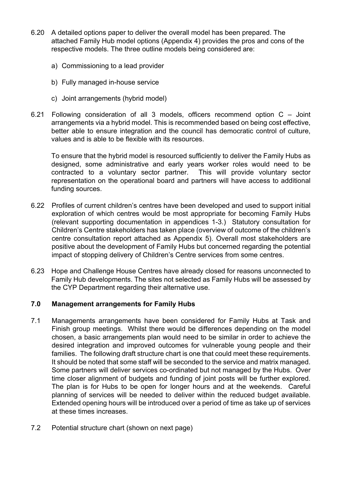- 6.20 A detailed options paper to deliver the overall model has been prepared. The attached Family Hub model options (Appendix 4) provides the pros and cons of the respective models. The three outline models being considered are:
	- a) Commissioning to a lead provider
	- b) Fully managed in-house service
	- c) Joint arrangements (hybrid model)
- 6.21 Following consideration of all 3 models, officers recommend option C Joint arrangements via a hybrid model. This is recommended based on being cost effective, better able to ensure integration and the council has democratic control of culture, values and is able to be flexible with its resources.

To ensure that the hybrid model is resourced sufficiently to deliver the Family Hubs as designed, some administrative and early years worker roles would need to be contracted to a voluntary sector partner. This will provide voluntary sector representation on the operational board and partners will have access to additional funding sources.

- 6.22 Profiles of current children's centres have been developed and used to support initial exploration of which centres would be most appropriate for becoming Family Hubs (relevant supporting documentation in appendices 1-3.) Statutory consultation for Children's Centre stakeholders has taken place (overview of outcome of the children's centre consultation report attached as Appendix 5). Overall most stakeholders are positive about the development of Family Hubs but concerned regarding the potential impact of stopping delivery of Children's Centre services from some centres.
- 6.23 Hope and Challenge House Centres have already closed for reasons unconnected to Family Hub developments. The sites not selected as Family Hubs will be assessed by the CYP Department regarding their alternative use.

#### **7.0 Management arrangements for Family Hubs**

- 7.1 Managements arrangements have been considered for Family Hubs at Task and Finish group meetings. Whilst there would be differences depending on the model chosen, a basic arrangements plan would need to be similar in order to achieve the desired integration and improved outcomes for vulnerable young people and their families. The following draft structure chart is one that could meet these requirements. It should be noted that some staff will be seconded to the service and matrix managed. Some partners will deliver services co-ordinated but not managed by the Hubs. Over time closer alignment of budgets and funding of joint posts will be further explored. The plan is for Hubs to be open for longer hours and at the weekends. Careful planning of services will be needed to deliver within the reduced budget available. Extended opening hours will be introduced over a period of time as take up of services at these times increases.
- 7.2 Potential structure chart (shown on next page)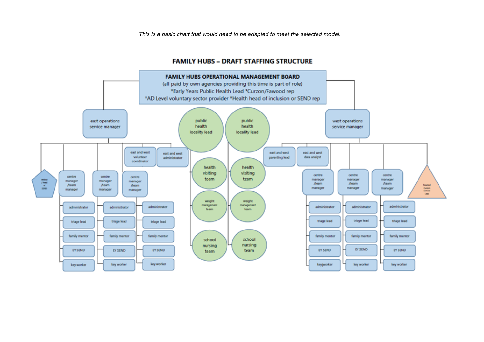*This is a basic chart that would need to be adapted to meet the selected model.*

#### **FAMILY HUBS - DRAFT STAFFING STRUCTURE**

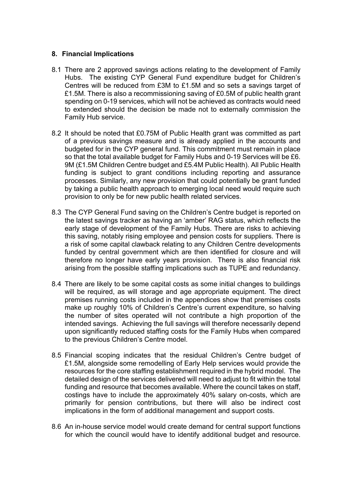#### **8. Financial Implications**

- 8.1 There are 2 approved savings actions relating to the development of Family Hubs. The existing CYP General Fund expenditure budget for Children's Centres will be reduced from £3M to £1.5M and so sets a savings target of £1.5M. There is also a recommissioning saving of £0.5M of public health grant spending on 0-19 services, which will not be achieved as contracts would need to extended should the decision be made not to externally commission the Family Hub service.
- 8.2 It should be noted that £0.75M of Public Health grant was committed as part of a previous savings measure and is already applied in the accounts and budgeted for in the CYP general fund. This commitment must remain in place so that the total available budget for Family Hubs and 0-19 Services will be £6. 9M (£1.5M Children Centre budget and £5.4M Public Health). All Public Health funding is subject to grant conditions including reporting and assurance processes. Similarly, any new provision that could potentially be grant funded by taking a public health approach to emerging local need would require such provision to only be for new public health related services.
- 8.3 The CYP General Fund saving on the Children's Centre budget is reported on the latest savings tracker as having an 'amber' RAG status, which reflects the early stage of development of the Family Hubs. There are risks to achieving this saving, notably rising employee and pension costs for suppliers. There is a risk of some capital clawback relating to any Children Centre developments funded by central government which are then identified for closure and will therefore no longer have early years provision. There is also financial risk arising from the possible staffing implications such as TUPE and redundancy.
- 8.4 There are likely to be some capital costs as some initial changes to buildings will be required, as will storage and age appropriate equipment. The direct premises running costs included in the appendices show that premises costs make up roughly 10% of Children's Centre's current expenditure, so halving the number of sites operated will not contribute a high proportion of the intended savings. Achieving the full savings will therefore necessarily depend upon significantly reduced staffing costs for the Family Hubs when compared to the previous Children's Centre model.
- 8.5 Financial scoping indicates that the residual Children's Centre budget of £1.5M, alongside some remodelling of Early Help services would provide the resources for the core staffing establishment required in the hybrid model. The detailed design of the services delivered will need to adjust to fit within the total funding and resource that becomes available. Where the council takes on staff, costings have to include the approximately 40% salary on-costs, which are primarily for pension contributions, but there will also be indirect cost implications in the form of additional management and support costs.
- 8.6 An in-house service model would create demand for central support functions for which the council would have to identify additional budget and resource.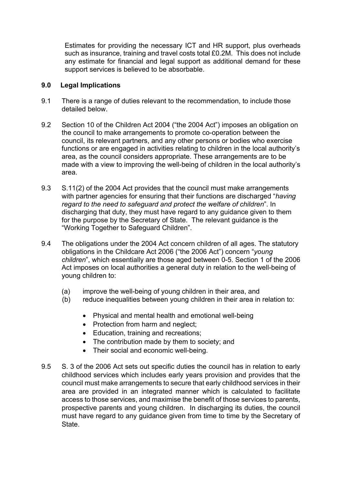Estimates for providing the necessary ICT and HR support, plus overheads such as insurance, training and travel costs total £0.2M. This does not include any estimate for financial and legal support as additional demand for these support services is believed to be absorbable.

#### **9.0 Legal Implications**

- 9.1 There is a range of duties relevant to the recommendation, to include those detailed below.
- 9.2 Section 10 of the Children Act 2004 ("the 2004 Act") imposes an obligation on the council to make arrangements to promote co-operation between the council, its relevant partners, and any other persons or bodies who exercise functions or are engaged in activities relating to children in the local authority's area, as the council considers appropriate. These arrangements are to be made with a view to improving the well-being of children in the local authority's area.
- 9.3 S.11(2) of the 2004 Act provides that the council must make arrangements with partner agencies for ensuring that their functions are discharged "*having regard to the need to safeguard and protect the welfare of children*". In discharging that duty, they must have regard to any guidance given to them for the purpose by the Secretary of State. The relevant guidance is the "Working Together to Safeguard Children".
- 9.4 The obligations under the 2004 Act concern children of all ages. The statutory obligations in the Childcare Act 2006 ("the 2006 Act") concern "*young children*", which essentially are those aged between 0-5. Section 1 of the 2006 Act imposes on local authorities a general duty in relation to the well-being of young children to:
	- (a) improve the well-being of young children in their area, and
	- (b) reduce inequalities between young children in their area in relation to:
		- Physical and mental health and emotional well-being
		- Protection from harm and neglect:
		- Education, training and recreations;
		- The contribution made by them to society; and
		- Their social and economic well-being.
- 9.5 S. 3 of the 2006 Act sets out specific duties the council has in relation to early childhood services which includes early years provision and provides that the council must make arrangements to secure that early childhood services in their area are provided in an integrated manner which is calculated to facilitate access to those services, and maximise the benefit of those services to parents, prospective parents and young children. In discharging its duties, the council must have regard to any guidance given from time to time by the Secretary of State.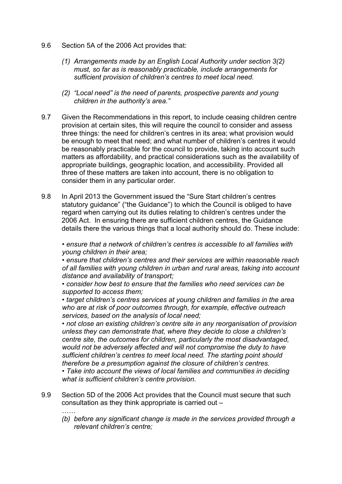- 9.6 Section 5A of the 2006 Act provides that:
	- *(1) Arrangements made by an English Local Authority under section 3(2) must, so far as is reasonably practicable, include arrangements for sufficient provision of children's centres to meet local need.*
	- *(2) "Local need" is the need of parents, prospective parents and young children in the authority's area."*
- 9.7 Given the Recommendations in this report, to include ceasing children centre provision at certain sites, this will require the council to consider and assess three things: the need for children's centres in its area; what provision would be enough to meet that need; and what number of children's centres it would be reasonably practicable for the council to provide, taking into account such matters as affordability, and practical considerations such as the availability of appropriate buildings, geographic location, and accessibility. Provided all three of these matters are taken into account, there is no obligation to consider them in any particular order.
- 9.8 In April 2013 the Government issued the "Sure Start children's centres statutory guidance" ("the Guidance") to which the Council is obliged to have regard when carrying out its duties relating to children's centres under the 2006 Act. In ensuring there are sufficient children centres, the Guidance details there the various things that a local authority should do. These include:

*• ensure that a network of children's centres is accessible to all families with young children in their area;*

*• ensure that children's centres and their services are within reasonable reach of all families with young children in urban and rural areas, taking into account distance and availability of transport;*

*• consider how best to ensure that the families who need services can be supported to access them;*

*• target children's centres services at young children and families in the area who are at risk of poor outcomes through, for example, effective outreach services, based on the analysis of local need;*

*• not close an existing children's centre site in any reorganisation of provision unless they can demonstrate that, where they decide to close a children's centre site, the outcomes for children, particularly the most disadvantaged, would not be adversely affected and will not compromise the duty to have sufficient children's centres to meet local need. The starting point should therefore be a presumption against the closure of children's centres.*

*• Take into account the views of local families and communities in deciding what is sufficient children's centre provision.*

9.9 Section 5D of the 2006 Act provides that the Council must secure that such consultation as they think appropriate is carried out –

*……*

*(b) before any significant change is made in the services provided through a relevant children's centre;*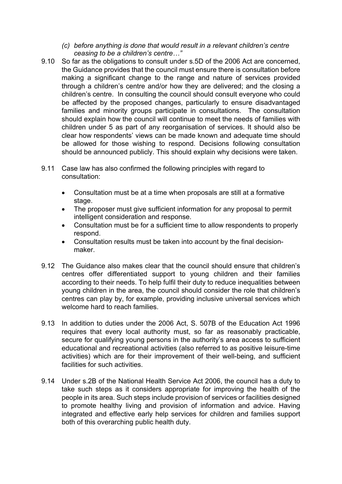- *(c) before anything is done that would result in a relevant children's centre ceasing to be a children's centre…"*
- 9.10 So far as the obligations to consult under s.5D of the 2006 Act are concerned, the Guidance provides that the council must ensure there is consultation before making a significant change to the range and nature of services provided through a children's centre and/or how they are delivered; and the closing a children's centre. In consulting the council should consult everyone who could be affected by the proposed changes, particularly to ensure disadvantaged families and minority groups participate in consultations. The consultation should explain how the council will continue to meet the needs of families with children under 5 as part of any reorganisation of services. It should also be clear how respondents' views can be made known and adequate time should be allowed for those wishing to respond. Decisions following consultation should be announced publicly. This should explain why decisions were taken.
- 9.11 Case law has also confirmed the following principles with regard to consultation:
	- Consultation must be at a time when proposals are still at a formative stage.
	- The proposer must give sufficient information for any proposal to permit intelligent consideration and response.
	- Consultation must be for a sufficient time to allow respondents to properly respond.
	- Consultation results must be taken into account by the final decisionmaker.
- 9.12 The Guidance also makes clear that the council should ensure that children's centres offer differentiated support to young children and their families according to their needs. To help fulfil their duty to reduce inequalities between young children in the area, the council should consider the role that children's centres can play by, for example, providing inclusive universal services which welcome hard to reach families.
- 9.13 In addition to duties under the 2006 Act, S. 507B of the Education Act 1996 requires that every local authority must, so far as reasonably practicable, secure for qualifying young persons in the authority's area access to sufficient educational and recreational activities (also referred to as positive leisure-time activities) which are for their improvement of their well-being, and sufficient facilities for such activities.
- 9.14 Under s.2B of the National Health Service Act 2006, the council has a duty to take such steps as it considers appropriate for improving the health of the people in its area. Such steps include provision of services or facilities designed to promote healthy living and provision of information and advice. Having integrated and effective early help services for children and families support both of this overarching public health duty.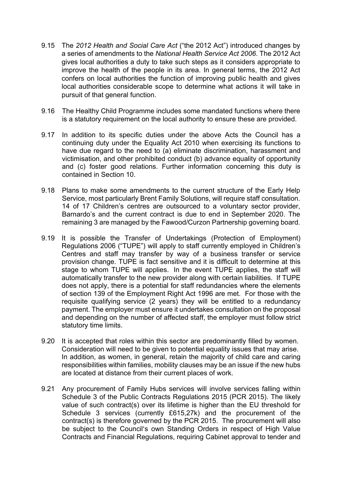- 9.15 The *2012 Health and Social Care Act* ("the 2012 Act") introduced changes by a series of amendments to the *National Health Service Act 2006*. The 2012 Act gives local authorities a duty to take such steps as it considers appropriate to improve the health of the people in its area. In general terms, the 2012 Act confers on local authorities the function of improving public health and gives local authorities considerable scope to determine what actions it will take in pursuit of that general function.
- 9.16 The Healthy Child Programme includes some mandated functions where there is a statutory requirement on the local authority to ensure these are provided.
- 9.17 In addition to its specific duties under the above Acts the Council has a continuing duty under the Equality Act 2010 when exercising its functions to have due regard to the need to (a) eliminate discrimination, harassment and victimisation, and other prohibited conduct (b) advance equality of opportunity and (c) foster good relations. Further information concerning this duty is contained in Section 10.
- 9.18 Plans to make some amendments to the current structure of the Early Help Service, most particularly Brent Family Solutions, will require staff consultation. 14 of 17 Children's centres are outsourced to a voluntary sector provider, Barnardo's and the current contract is due to end in September 2020. The remaining 3 are managed by the Fawood/Curzon Partnership governing board.
- 9.19 It is possible the Transfer of Undertakings (Protection of Employment) Regulations 2006 ("TUPE") will apply to staff currently employed in Children's Centres and staff may transfer by way of a business transfer or service provision change. TUPE is fact sensitive and it is difficult to determine at this stage to whom TUPE will applies. In the event TUPE applies, the staff will automatically transfer to the new provider along with certain liabilities. If TUPE does not apply, there is a potential for staff redundancies where the elements of section 139 of the Employment Right Act 1996 are met. For those with the requisite qualifying service (2 years) they will be entitled to a redundancy payment. The employer must ensure it undertakes consultation on the proposal and depending on the number of affected staff, the employer must follow strict statutory time limits.
- 9.20 It is accepted that roles within this sector are predominantly filled by women. Consideration will need to be given to potential equality issues that may arise. In addition, as women, in general, retain the majority of child care and caring responsibilities within families, mobility clauses may be an issue if the new hubs are located at distance from their current places of work.
- 9.21 Any procurement of Family Hubs services will involve services falling within Schedule 3 of the Public Contracts Regulations 2015 (PCR 2015). The likely value of such contract(s) over its lifetime is higher than the EU threshold for Schedule 3 services (currently £615,27k) and the procurement of the contract(s) is therefore governed by the PCR 2015. The procurement will also be subject to the Council's own Standing Orders in respect of High Value Contracts and Financial Regulations, requiring Cabinet approval to tender and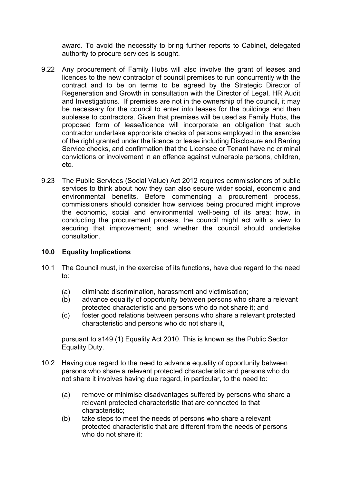award. To avoid the necessity to bring further reports to Cabinet, delegated authority to procure services is sought.

- 9.22 Any procurement of Family Hubs will also involve the grant of leases and licences to the new contractor of council premises to run concurrently with the contract and to be on terms to be agreed by the Strategic Director of Regeneration and Growth in consultation with the Director of Legal, HR Audit and Investigations. If premises are not in the ownership of the council, it may be necessary for the council to enter into leases for the buildings and then sublease to contractors. Given that premises will be used as Family Hubs, the proposed form of lease/licence will incorporate an obligation that such contractor undertake appropriate checks of persons employed in the exercise of the right granted under the licence or lease including Disclosure and Barring Service checks, and confirmation that the Licensee or Tenant have no criminal convictions or involvement in an offence against vulnerable persons, children, etc.
- 9.23 The Public Services (Social Value) Act 2012 requires commissioners of public services to think about how they can also secure wider social, economic and environmental benefits. Before commencing a procurement process, commissioners should consider how services being procured might improve the economic, social and environmental well-being of its area; how, in conducting the procurement process, the council might act with a view to securing that improvement; and whether the council should undertake consultation.

#### **10.0 Equality Implications**

- 10.1 The Council must, in the exercise of its functions, have due regard to the need to:
	- (a) eliminate discrimination, harassment and victimisation;
	- (b) advance equality of opportunity between persons who share a relevant protected characteristic and persons who do not share it; and
	- (c) foster good relations between persons who share a relevant protected characteristic and persons who do not share it,

pursuant to s149 (1) Equality Act 2010. This is known as the Public Sector Equality Duty.

- 10.2 Having due regard to the need to advance equality of opportunity between persons who share a relevant protected characteristic and persons who do not share it involves having due regard, in particular, to the need to:
	- (a) remove or minimise disadvantages suffered by persons who share a relevant protected characteristic that are connected to that characteristic;
	- (b) take steps to meet the needs of persons who share a relevant protected characteristic that are different from the needs of persons who do not share it: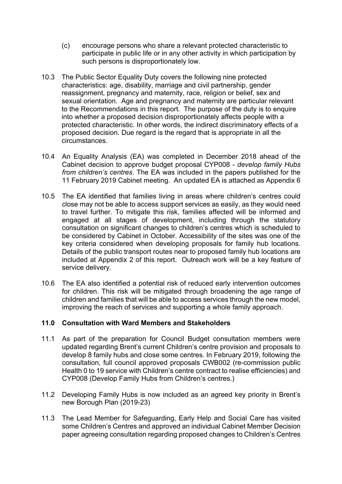- (c) encourage persons who share a relevant protected characteristic to participate in public life or in any other activity in which participation by such persons is disproportionately low.
- 10.3 The Public Sector Equality Duty covers the following nine protected characteristics: age, disability, marriage and civil partnership, gender reassignment, pregnancy and maternity, race, religion or belief, sex and sexual orientation. Age and pregnancy and maternity are particular relevant to the Recommendations in this report. The purpose of the duty is to enquire into whether a proposed decision disproportionately affects people with a protected characteristic. In other words, the indirect discriminatory effects of a proposed decision. Due regard is the regard that is appropriate in all the circumstances.
- 10.4 An Equality Analysis (EA) was completed in December 2018 ahead of the Cabinet decision to approve budget proposal CYP008 - *develop family Hubs from children's centres*. The EA was included in the papers published for the 11 February 2019 Cabinet meeting. An updated EA is attached as Appendix 6
- 10.5 The EA identified that families living in areas where children's centres could close may not be able to access support services as easily, as they would need to travel further. To mitigate this risk, families affected will be informed and engaged at all stages of development, including through the statutory consultation on significant changes to children's centres which is scheduled to be considered by Cabinet in October. Accessibility of the sites was one of the key criteria considered when developing proposals for family hub locations. Details of the public transport routes near to proposed family hub locations are included at Appendix 2 of this report. Outreach work will be a key feature of service delivery.
- 10.6 The EA also identified a potential risk of reduced early intervention outcomes for children. This risk will be mitigated through broadening the age range of children and families that will be able to access services through the new model, improving the reach of services and supporting a whole family approach.

#### **11.0 Consultation with Ward Members and Stakeholders**

- 11.1 As part of the preparation for Council Budget consultation members were updated regarding Brent's current Children's centre provision and proposals to develop 8 family hubs and close some centres. In February 2019, following the consultation, full council approved proposals CWB002 (re-commission public Health 0 to 19 service with Children's centre contract to realise efficiencies) and CYP008 (Develop Family Hubs from Children's centres.)
- 11.2 Developing Family Hubs is now included as an agreed key priority in Brent's new Borough Plan (2019-23)
- 11.3 The Lead Member for Safeguarding, Early Help and Social Care has visited some Children's Centres and approved an individual Cabinet Member Decision paper agreeing consultation regarding proposed changes to Children's Centres